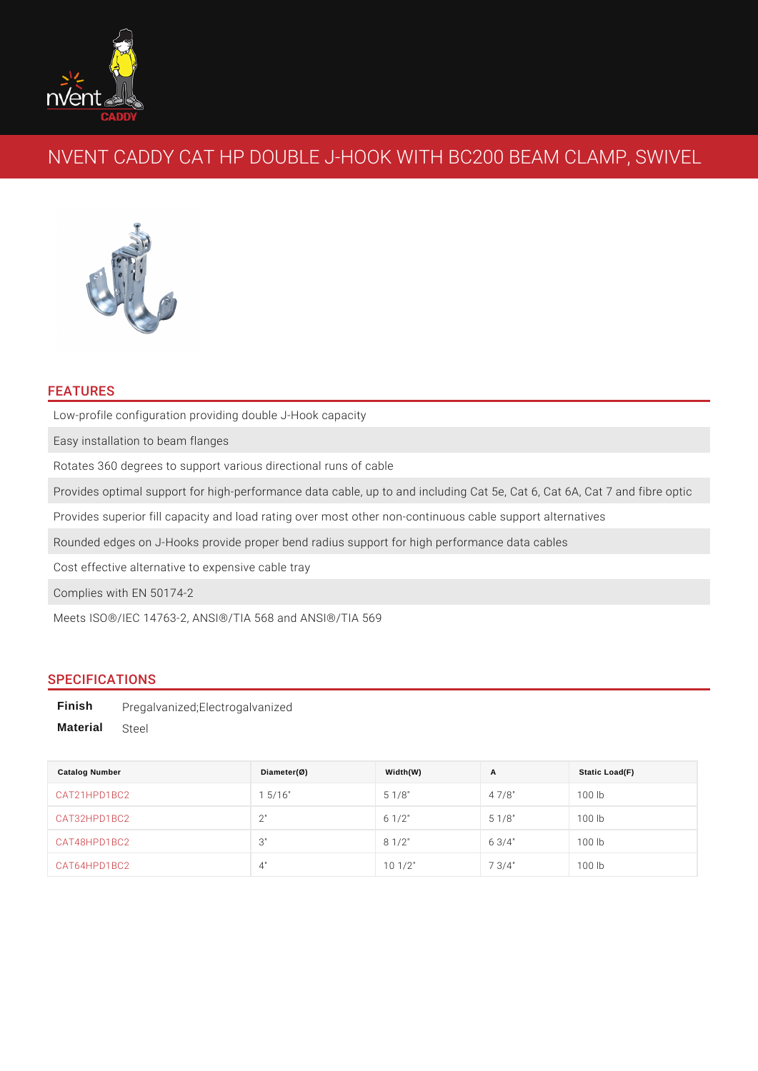# NVENT CADDY CAT HP DOUBLE J-HOOK WITH BC20

#### FEATURES

Low-profile configuration providing double J-Hook capacity Easy installation to beam flanges Rotates 360 degrees to support various directional runs of cable Provides optimal support for high-performance data cable, up to and including ( Provides superior fill capacity and load rating over most other non-continuous o Rounded edges on J-Hooks provide proper bend radius support for high performa Cost effective alternative to expensive cable tray Complies with EN 50174-2

Meets ISO®/IEC 14763-2, ANSI®/TIA 568 and ANSI®/TIA 569

#### SPECIFICATIONS

Finish Pregalvanized;Electrogalvanized Material Steel

| Catalog Number | $Diameter(\emptyset)$ | Width(W)         | A           | Static Load(F) |
|----------------|-----------------------|------------------|-------------|----------------|
| CAT21HPD1BC2   | $1\;\;5/16"$          | $5 \t1/8"$       | 47/8"       | 100 lb         |
| CAT32HPD1BC2   | 2"                    | $6 \t1/2$ "      | $5 \t1/8"$  | 100 lb         |
| CAT48HPD1BC2   | 3"                    | $8 \t1/2$ "      | 6 $3/4$ "   | 100 lb         |
| CAT64HPD1BC2   | 4"                    | $10 \frac{1}{2}$ | $7 \t3/4$ " | 100 lb         |